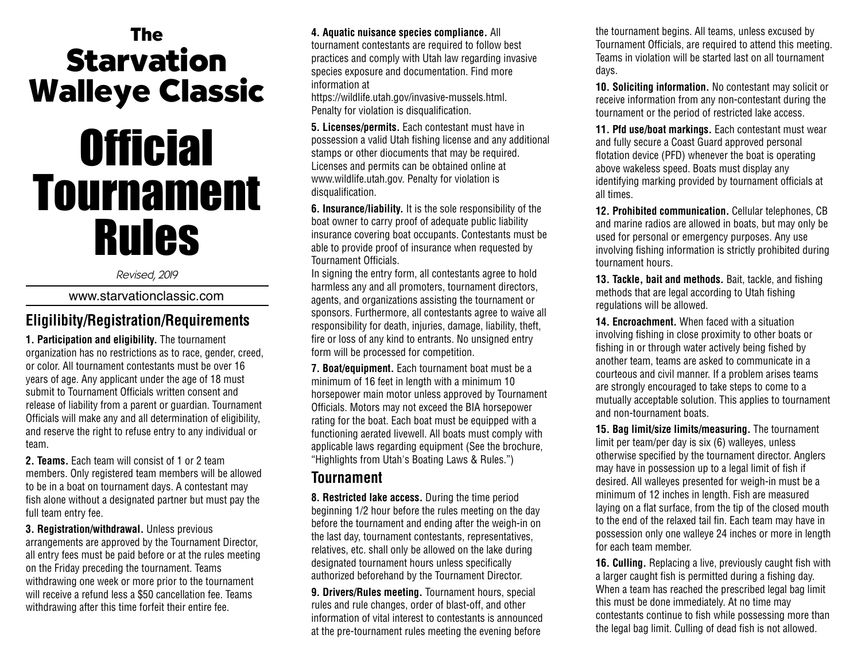# **The Starvation Walleye Classic**

# **Official** Tournament Rules

Revised, 2019

www.starvationclassic.com

# **Eligilibity/Registration/Requirements**

**1. Participation and eligibility.** The tournament organization has no restrictions as to race, gender, creed, or color. All tournament contestants must be over 16 years of age. Any applicant under the age of 18 must submit to Tournament Officials written consent and release of liability from a parent or guardian. Tournament Officials will make any and all determination of eligibility, and reserve the right to refuse entry to any individual or team.

**2. Teams.** Each team will consist of 1 or 2 team members. Only registered team members will be allowed to be in a boat on tournament days. A contestant may fish alone without a designated partner but must pay the full team entry fee.

**3. Registration/withdrawal.** Unless previous arrangements are approved by the Tournament Director, all entry fees must be paid before or at the rules meeting on the Friday preceding the tournament. Teams withdrawing one week or more prior to the tournament will receive a refund less a \$50 cancellation fee. Teams withdrawing after this time forfeit their entire fee.

#### **4. Aquatic nuisance species compliance.** All

tournament contestants are required to follow best practices and comply with Utah law regarding invasive species exposure and documentation. Find more information at

https://wildlife.utah.gov/invasive-mussels.html. Penalty for violation is disqualification.

**5. Licenses/permits.** Each contestant must have in possession a valid Utah fishing license and any additional stamps or other diocuments that may be required. Licenses and permits can be obtained online at www.wildlife.utah.gov. Penalty for violation is disqualification.

**6. Insurance/liability.** It is the sole responsibility of the boat owner to carry proof of adequate public liability insurance covering boat occupants. Contestants must be able to provide proof of insurance when requested by Tournament Officials.

In signing the entry form, all contestants agree to hold harmless any and all promoters, tournament directors, agents, and organizations assisting the tournament or sponsors. Furthermore, all contestants agree to waive all responsibility for death, injuries, damage, liability, theft, fire or loss of any kind to entrants. No unsigned entry form will be processed for competition.

**7. Boat/equipment.** Each tournament boat must be a minimum of 16 feet in length with a minimum 10 horsepower main motor unless approved by Tournament Officials. Motors may not exceed the BIA horsepower rating for the boat. Each boat must be equipped with a functioning aerated livewell. All boats must comply with applicable laws regarding equipment (See the brochure, "Highlights from Utah's Boating Laws & Rules.")

### **Tournament**

**8. Restricted lake access.** During the time period beginning 1/2 hour before the rules meeting on the day before the tournament and ending after the weigh-in on the last day, tournament contestants, representatives, relatives, etc. shall only be allowed on the lake during designated tournament hours unless specifically authorized beforehand by the Tournament Director.

**9. Drivers/Rules meeting.** Tournament hours, special rules and rule changes, order of blast-off, and other information of vital interest to contestants is announced at the pre-tournament rules meeting the evening before

the tournament begins. All teams, unless excused by Tournament Officials, are required to attend this meeting. Teams in violation will be started last on all tournament days.

**10. Soliciting information.** No contestant may solicit or receive information from any non-contestant during the tournament or the period of restricted lake access.

**11. Pfd use/boat markings.** Each contestant must wear and fully secure a Coast Guard approved personal flotation device (PFD) whenever the boat is operating above wakeless speed. Boats must display any identifying marking provided by tournament officials at all times.

**12. Prohibited communication.** Cellular telephones, CB and marine radios are allowed in boats, but may only be used for personal or emergency purposes. Any use involving fishing information is strictly prohibited during tournament hours.

**13. Tackle, bait and methods.** Bait, tackle, and fishing methods that are legal according to Utah fishing regulations will be allowed.

**14. Encroachment.** When faced with a situation involving fishing in close proximity to other boats or fishing in or through water actively being fished by another team, teams are asked to communicate in a courteous and civil manner. If a problem arises teams are strongly encouraged to take steps to come to a mutually acceptable solution. This applies to tournament and non-tournament boats.

**15. Bag limit/size limits/measuring.** The tournament limit per team/per day is six (6) walleyes, unless otherwise specified by the tournament director. Anglers may have in possession up to a legal limit of fish if desired. All walleyes presented for weigh-in must be a minimum of 12 inches in length. Fish are measured laying on a flat surface, from the tip of the closed mouth to the end of the relaxed tail fin. Each team may have in possession only one walleye 24 inches or more in length for each team member.

**16. Culling.** Replacing a live, previously caught fish with a larger caught fish is permitted during a fishing day. When a team has reached the prescribed legal bag limit this must be done immediately. At no time may contestants continue to fish while possessing more than the legal bag limit. Culling of dead fish is not allowed.